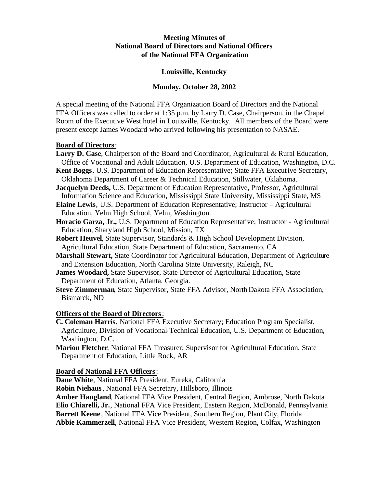## **Meeting Minutes of National Board of Directors and National Officers of the National FFA Organization**

## **Louisville, Kentucky**

## **Monday, October 28, 2002**

A special meeting of the National FFA Organization Board of Directors and the National FFA Officers was called to order at 1:35 p.m. by Larry D. Case, Chairperson, in the Chapel Room of the Executive West hotel in Louisville, Kentucky. All members of the Board were present except James Woodard who arrived following his presentation to NASAE.

## **Board of Directors**:

- **Larry D. Case**, Chairperson of the Board and Coordinator, Agricultural & Rural Education, Office of Vocational and Adult Education, U.S. Department of Education, Washington, D.C.
- **Kent Boggs**, U.S. Department of Education Representative; State FFA Executive Secretary, Oklahoma Department of Career & Technical Education, Stillwater, Oklahoma.

**Jacquelyn Deeds,** U.S. Department of Education Representative**,** Professor, Agricultural Information Science and Education, Mississippi State University, Mississippi State, MS

**Elaine Lewis**, U.S. Department of Education Representative; Instructor – Agricultural Education, Yelm High School, Yelm, Washington.

**Horacio Garza, Jr.,** U.S. Department of Education Representative; Instructor - Agricultural Education, Sharyland High School, Mission, TX

- **Robert Heuvel**, State Supervisor, Standards & High School Development Division, Agricultural Education, State Department of Education, Sacramento, CA
- **Marshall Stewart,** State Coordinator for Agricultural Education, Department of Agriculture and Extension Education, North Carolina State University, Raleigh, NC

**James Woodard,** State Supervisor, State Director of Agricultural Education, State Department of Education, Atlanta, Georgia.

**Steve Zimmerman**, State Supervisor, State FFA Advisor, North Dakota FFA Association, Bismarck, ND

## **Officers of the Board of Directors**:

- **C. Coleman Harris**, National FFA Executive Secretary; Education Program Specialist, Agriculture, Division of Vocational-Technical Education, U.S. Department of Education, Washington, D.C.
- **Marion Fletcher**, National FFA Treasurer; Supervisor for Agricultural Education, State Department of Education, Little Rock, AR

# **Board of National FFA Officers**:

**Dane White**, National FFA President, Eureka, California

**Robin Niehaus**, National FFA Secretary, Hillsboro, Illinois

**Amber Haugland**, National FFA Vice President, Central Region, Ambrose, North Dakota **Elio Chiarelli, Jr.**, National FFA Vice President, Eastern Region, McDonald, Pennsylvania **Barrett Keene** , National FFA Vice President, Southern Region, Plant City, Florida **Abbie Kammerzell**, National FFA Vice President, Western Region, Colfax, Washington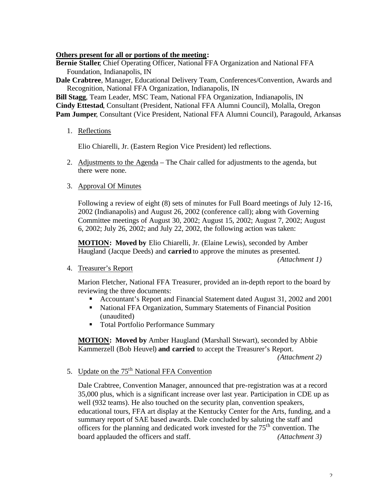## **Others present for all or portions of the meeting:**

**Bernie Staller**, Chief Operating Officer, National FFA Organization and National FFA Foundation, Indianapolis, IN

**Dale Crabtree**, Manager, Educational Delivery Team, Conferences/Convention, Awards and Recognition, National FFA Organization, Indianapolis, IN

**Bill Stagg**, Team Leader, MSC Team, National FFA Organization, Indianapolis, IN **Cindy Ettestad**, Consultant (President, National FFA Alumni Council), Molalla, Oregon **Pam Jumper**, Consultant (Vice President, National FFA Alumni Council), Paragould, Arkansas

# 1. Reflections

Elio Chiarelli, Jr. (Eastern Region Vice President) led reflections.

2. Adjustments to the Agenda – The Chair called for adjustments to the agenda, but there were none.

## 3. Approval Of Minutes

Following a review of eight (8) sets of minutes for Full Board meetings of July 12-16, 2002 (Indianapolis) and August 26, 2002 (conference call); along with Governing Committee meetings of August 30, 2002; August 15, 2002; August 7, 2002; August 6, 2002; July 26, 2002; and July 22, 2002, the following action was taken:

**MOTION: Moved by** Elio Chiarelli, Jr. (Elaine Lewis), seconded by Amber Haugland (Jacque Deeds) and **carried** to approve the minutes as presented.

*(Attachment 1)*

## 4. Treasurer's Report

Marion Fletcher, National FFA Treasurer, provided an in-depth report to the board by reviewing the three documents:

- ß Accountant's Report and Financial Statement dated August 31, 2002 and 2001
- National FFA Organization, Summary Statements of Financial Position (unaudited)
- **Total Portfolio Performance Summary**

**MOTION: Moved by** Amber Haugland (Marshall Stewart), seconded by Abbie Kammerzell (Bob Heuvel) **and carried** to accept the Treasurer's Report.

*(Attachment 2)*

# 5. Update on the 75<sup>th</sup> National FFA Convention

Dale Crabtree, Convention Manager, announced that pre-registration was at a record 35,000 plus, which is a significant increase over last year. Participation in CDE up as well (932 teams). He also touched on the security plan, convention speakers, educational tours, FFA art display at the Kentucky Center for the Arts, funding, and a summary report of SAE based awards. Dale concluded by saluting the staff and officers for the planning and dedicated work invested for the  $75<sup>th</sup>$  convention. The board applauded the officers and staff. *(Attachment 3)*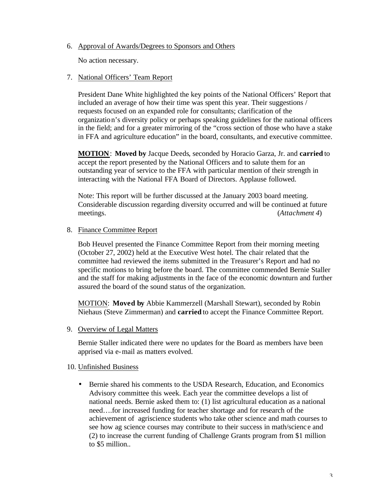## 6. Approval of Awards/Degrees to Sponsors and Others

No action necessary.

## 7. National Officers' Team Report

President Dane White highlighted the key points of the National Officers' Report that included an average of how their time was spent this year. Their suggestions / requests focused on an expanded role for consultants; clarification of the organization's diversity policy or perhaps speaking guidelines for the national officers in the field; and for a greater mirroring of the "cross section of those who have a stake in FFA and agriculture education" in the board, consultants, and executive committee.

**MOTION**: **Moved by** Jacque Deeds, seconded by Horacio Garza, Jr. and **carried** to accept the report presented by the National Officers and to salute them for an outstanding year of service to the FFA with particular mention of their strength in interacting with the National FFA Board of Directors. Applause followed.

Note: This report will be further discussed at the January 2003 board meeting. Considerable discussion regarding diversity occurred and will be continued at future meetings. (*Attachment 4*)

#### 8. Finance Committee Report

Bob Heuvel presented the Finance Committee Report from their morning meeting (October 27, 2002) held at the Executive West hotel. The chair related that the committee had reviewed the items submitted in the Treasurer's Report and had no specific motions to bring before the board. The committee commended Bernie Staller and the staff for making adjustments in the face of the economic downturn and further assured the board of the sound status of the organization.

MOTION: **Moved by** Abbie Kammerzell (Marshall Stewart), seconded by Robin Niehaus (Steve Zimmerman) and **carried** to accept the Finance Committee Report.

9. Overview of Legal Matters

Bernie Staller indicated there were no updates for the Board as members have been apprised via e-mail as matters evolved.

10. Unfinished Business

• Bernie shared his comments to the USDA Research, Education, and Economics Advisory committee this week. Each year the committee develops a list of national needs. Bernie asked them to: (1) list agricultural education as a national need….for increased funding for teacher shortage and for research of the achievement of agriscience students who take other science and math courses to see how ag science courses may contribute to their success in math/science and (2) to increase the current funding of Challenge Grants program from \$1 million to \$5 million..